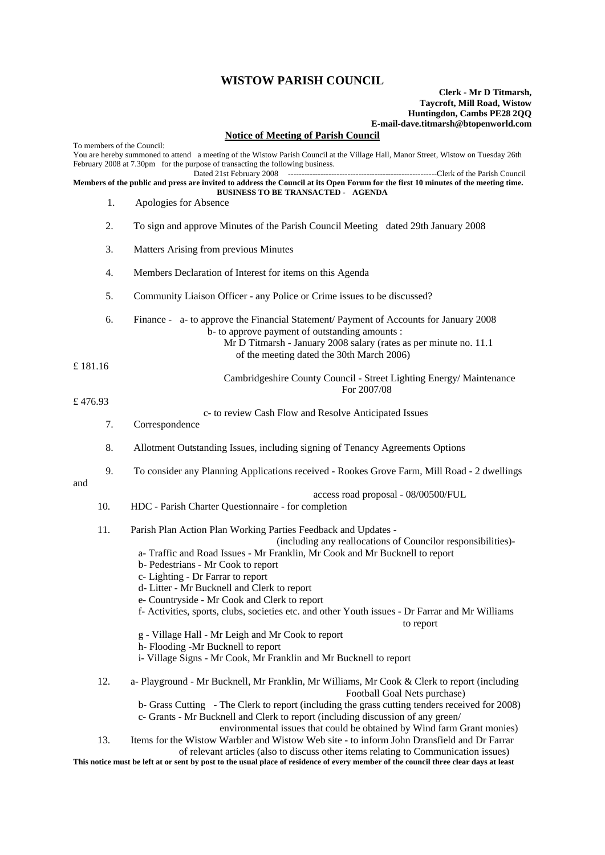## **WISTOW PARISH COUNCIL**

## **Clerk - Mr D Titmarsh, Taycroft, Mill Road, Wistow Huntingdon, Cambs PE28 2QQ E-mail-dave.titmarsh@btopenworld.com**

## **Notice of Meeting of Parish Council**

| To members of the Council:<br>You are hereby summoned to attend a meeting of the Wistow Parish Council at the Village Hall, Manor Street, Wistow on Tuesday 26th<br>February 2008 at 7.30pm for the purpose of transacting the following business. |     |                                                                                                                                                                                                                                                                                                                                                                                                                                                                                           |
|----------------------------------------------------------------------------------------------------------------------------------------------------------------------------------------------------------------------------------------------------|-----|-------------------------------------------------------------------------------------------------------------------------------------------------------------------------------------------------------------------------------------------------------------------------------------------------------------------------------------------------------------------------------------------------------------------------------------------------------------------------------------------|
| Dated 21st February 2008<br>Members of the public and press are invited to address the Council at its Open Forum for the first 10 minutes of the meeting time.                                                                                     |     |                                                                                                                                                                                                                                                                                                                                                                                                                                                                                           |
|                                                                                                                                                                                                                                                    |     | <b>BUSINESS TO BE TRANSACTED - AGENDA</b>                                                                                                                                                                                                                                                                                                                                                                                                                                                 |
|                                                                                                                                                                                                                                                    | 1.  | Apologies for Absence                                                                                                                                                                                                                                                                                                                                                                                                                                                                     |
|                                                                                                                                                                                                                                                    | 2.  | To sign and approve Minutes of the Parish Council Meeting dated 29th January 2008                                                                                                                                                                                                                                                                                                                                                                                                         |
|                                                                                                                                                                                                                                                    | 3.  | Matters Arising from previous Minutes                                                                                                                                                                                                                                                                                                                                                                                                                                                     |
|                                                                                                                                                                                                                                                    | 4.  | Members Declaration of Interest for items on this Agenda                                                                                                                                                                                                                                                                                                                                                                                                                                  |
|                                                                                                                                                                                                                                                    | 5.  | Community Liaison Officer - any Police or Crime issues to be discussed?                                                                                                                                                                                                                                                                                                                                                                                                                   |
|                                                                                                                                                                                                                                                    | 6.  | Finance - a- to approve the Financial Statement/ Payment of Accounts for January 2008<br>b- to approve payment of outstanding amounts :<br>Mr D Titmarsh - January 2008 salary (rates as per minute no. 11.1<br>of the meeting dated the 30th March 2006)                                                                                                                                                                                                                                 |
| £ 181.16                                                                                                                                                                                                                                           |     | Cambridgeshire County Council - Street Lighting Energy/ Maintenance<br>For 2007/08                                                                                                                                                                                                                                                                                                                                                                                                        |
| £476.93                                                                                                                                                                                                                                            |     |                                                                                                                                                                                                                                                                                                                                                                                                                                                                                           |
|                                                                                                                                                                                                                                                    | 7.  | c- to review Cash Flow and Resolve Anticipated Issues<br>Correspondence                                                                                                                                                                                                                                                                                                                                                                                                                   |
| and                                                                                                                                                                                                                                                | 8.  | Allotment Outstanding Issues, including signing of Tenancy Agreements Options                                                                                                                                                                                                                                                                                                                                                                                                             |
|                                                                                                                                                                                                                                                    | 9.  | To consider any Planning Applications received - Rookes Grove Farm, Mill Road - 2 dwellings                                                                                                                                                                                                                                                                                                                                                                                               |
|                                                                                                                                                                                                                                                    | 10. | access road proposal - 08/00500/FUL<br>HDC - Parish Charter Questionnaire - for completion                                                                                                                                                                                                                                                                                                                                                                                                |
|                                                                                                                                                                                                                                                    | 11. | Parish Plan Action Plan Working Parties Feedback and Updates -<br>(including any reallocations of Councilor responsibilities)-<br>a-Traffic and Road Issues - Mr Franklin, Mr Cook and Mr Bucknell to report<br>b- Pedestrians - Mr Cook to report<br>c- Lighting - Dr Farrar to report<br>d- Litter - Mr Bucknell and Clerk to report<br>e- Countryside - Mr Cook and Clerk to report<br>f- Activities, sports, clubs, societies etc. and other Youth issues - Dr Farrar and Mr Williams |
|                                                                                                                                                                                                                                                    |     | to report<br>g - Village Hall - Mr Leigh and Mr Cook to report<br>h-Flooding -Mr Bucknell to report<br>i- Village Signs - Mr Cook, Mr Franklin and Mr Bucknell to report                                                                                                                                                                                                                                                                                                                  |
|                                                                                                                                                                                                                                                    | 12. | a- Playground - Mr Bucknell, Mr Franklin, Mr Williams, Mr Cook & Clerk to report (including<br>Football Goal Nets purchase)<br>b- Grass Cutting - The Clerk to report (including the grass cutting tenders received for 2008)<br>c- Grants - Mr Bucknell and Clerk to report (including discussion of any green/<br>environmental issues that could be obtained by Wind farm Grant monies)                                                                                                |
|                                                                                                                                                                                                                                                    | 13. | Items for the Wistow Warbler and Wistow Web site - to inform John Dransfield and Dr Farrar<br>of relevant articles (also to discuss other items relating to Communication issues)                                                                                                                                                                                                                                                                                                         |

**This notice must be left at or sent by post to the usual place of residence of every member of the council three clear days at least**